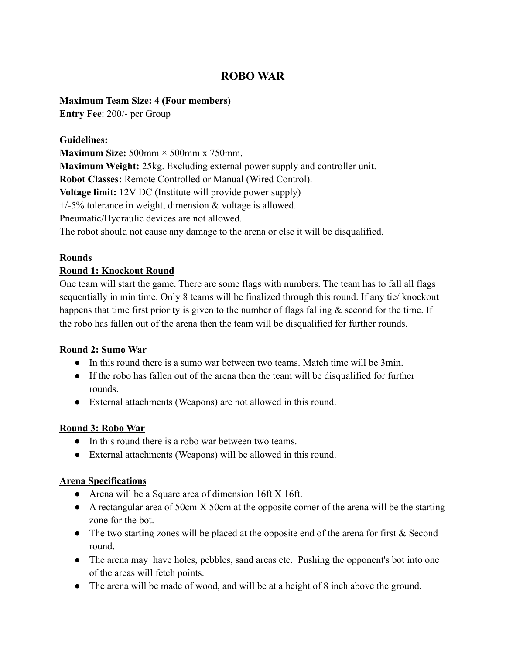# **ROBO WAR**

#### **Maximum Team Size: 4 (Four members)**

**Entry Fee**: 200/- per Group

#### **Guidelines:**

**Maximum Size:** 500mm × 500mm x 750mm. **Maximum Weight:** 25kg. Excluding external power supply and controller unit. **Robot Classes:** Remote Controlled or Manual (Wired Control). **Voltage limit:** 12V DC (Institute will provide power supply) +/-5% tolerance in weight, dimension & voltage is allowed. Pneumatic/Hydraulic devices are not allowed. The robot should not cause any damage to the arena or else it will be disqualified.

## **Rounds**

## **Round 1: Knockout Round**

One team will start the game. There are some flags with numbers. The team has to fall all flags sequentially in min time. Only 8 teams will be finalized through this round. If any tie/ knockout happens that time first priority is given to the number of flags falling  $\&$  second for the time. If the robo has fallen out of the arena then the team will be disqualified for further rounds.

## **Round 2: Sumo War**

- In this round there is a sumo war between two teams. Match time will be 3min.
- If the robo has fallen out of the arena then the team will be disqualified for further rounds.
- External attachments (Weapons) are not allowed in this round.

#### **Round 3: Robo War**

- In this round there is a robo war between two teams.
- External attachments (Weapons) will be allowed in this round.

#### **Arena Specifications**

- Arena will be a Square area of dimension 16ft X 16ft.
- A rectangular area of 50cm X 50cm at the opposite corner of the arena will be the starting zone for the bot.
- The two starting zones will be placed at the opposite end of the arena for first & Second round.
- The arena may have holes, pebbles, sand areas etc. Pushing the opponent's bot into one of the areas will fetch points.
- The arena will be made of wood, and will be at a height of 8 inch above the ground.